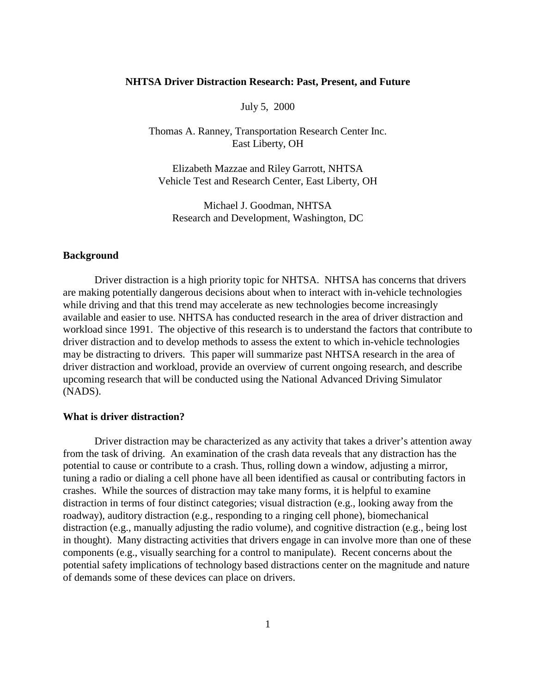## **NHTSA Driver Distraction Research: Past, Present, and Future**

July 5, 2000

Thomas A. Ranney, Transportation Research Center Inc. East Liberty, OH

Elizabeth Mazzae and Riley Garrott, NHTSA Vehicle Test and Research Center, East Liberty, OH

Michael J. Goodman, NHTSA Research and Development, Washington, DC

## **Background**

Driver distraction is a high priority topic for NHTSA. NHTSA has concerns that drivers are making potentially dangerous decisions about when to interact with in-vehicle technologies while driving and that this trend may accelerate as new technologies become increasingly available and easier to use. NHTSA has conducted research in the area of driver distraction and workload since 1991. The objective of this research is to understand the factors that contribute to driver distraction and to develop methods to assess the extent to which in-vehicle technologies may be distracting to drivers. This paper will summarize past NHTSA research in the area of driver distraction and workload, provide an overview of current ongoing research, and describe upcoming research that will be conducted using the National Advanced Driving Simulator (NADS).

## **What is driver distraction?**

Driver distraction may be characterized as any activity that takes a driver's attention away from the task of driving. An examination of the crash data reveals that any distraction has the potential to cause or contribute to a crash. Thus, rolling down a window, adjusting a mirror, tuning a radio or dialing a cell phone have all been identified as causal or contributing factors in crashes. While the sources of distraction may take many forms, it is helpful to examine distraction in terms of four distinct categories; visual distraction (e.g., looking away from the roadway), auditory distraction (e.g., responding to a ringing cell phone), biomechanical distraction (e.g., manually adjusting the radio volume), and cognitive distraction (e.g., being lost in thought). Many distracting activities that drivers engage in can involve more than one of these components (e.g., visually searching for a control to manipulate). Recent concerns about the potential safety implications of technology based distractions center on the magnitude and nature of demands some of these devices can place on drivers.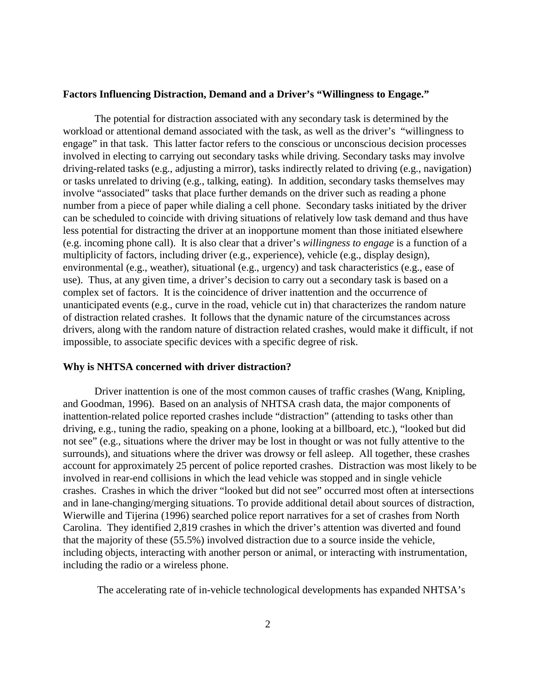#### **Factors Influencing Distraction, Demand and a Driver's "Willingness to Engage."**

The potential for distraction associated with any secondary task is determined by the workload or attentional demand associated with the task, as well as the driver's "willingness to engage" in that task. This latter factor refers to the conscious or unconscious decision processes involved in electing to carrying out secondary tasks while driving. Secondary tasks may involve driving-related tasks (e.g., adjusting a mirror), tasks indirectly related to driving (e.g., navigation) or tasks unrelated to driving (e.g., talking, eating). In addition, secondary tasks themselves may involve "associated" tasks that place further demands on the driver such as reading a phone number from a piece of paper while dialing a cell phone. Secondary tasks initiated by the driver can be scheduled to coincide with driving situations of relatively low task demand and thus have less potential for distracting the driver at an inopportune moment than those initiated elsewhere (e.g. incoming phone call). It is also clear that a driver's *willingness to engage* is a function of a multiplicity of factors, including driver (e.g., experience), vehicle (e.g., display design), environmental (e.g., weather), situational (e.g., urgency) and task characteristics (e.g., ease of use). Thus, at any given time, a driver's decision to carry out a secondary task is based on a complex set of factors. It is the coincidence of driver inattention and the occurrence of unanticipated events (e.g., curve in the road, vehicle cut in) that characterizes the random nature of distraction related crashes. It follows that the dynamic nature of the circumstances across drivers, along with the random nature of distraction related crashes, would make it difficult, if not impossible, to associate specific devices with a specific degree of risk.

#### **Why is NHTSA concerned with driver distraction?**

Driver inattention is one of the most common causes of traffic crashes (Wang, Knipling, and Goodman, 1996). Based on an analysis of NHTSA crash data, the major components of inattention-related police reported crashes include "distraction" (attending to tasks other than driving, e.g., tuning the radio, speaking on a phone, looking at a billboard, etc.), "looked but did not see" (e.g., situations where the driver may be lost in thought or was not fully attentive to the surrounds), and situations where the driver was drowsy or fell asleep. All together, these crashes account for approximately 25 percent of police reported crashes. Distraction was most likely to be involved in rear-end collisions in which the lead vehicle was stopped and in single vehicle crashes. Crashes in which the driver "looked but did not see" occurred most often at intersections and in lane-changing/merging situations. To provide additional detail about sources of distraction, Wierwille and Tijerina (1996) searched police report narratives for a set of crashes from North Carolina. They identified 2,819 crashes in which the driver's attention was diverted and found that the majority of these (55.5%) involved distraction due to a source inside the vehicle, including objects, interacting with another person or animal, or interacting with instrumentation, including the radio or a wireless phone.

The accelerating rate of in-vehicle technological developments has expanded NHTSA's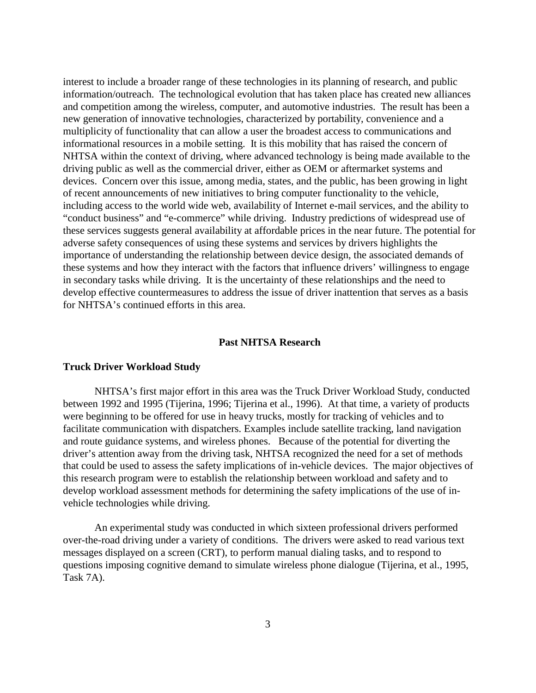interest to include a broader range of these technologies in its planning of research, and public information/outreach. The technological evolution that has taken place has created new alliances and competition among the wireless, computer, and automotive industries. The result has been a new generation of innovative technologies, characterized by portability, convenience and a multiplicity of functionality that can allow a user the broadest access to communications and informational resources in a mobile setting. It is this mobility that has raised the concern of NHTSA within the context of driving, where advanced technology is being made available to the driving public as well as the commercial driver, either as OEM or aftermarket systems and devices. Concern over this issue, among media, states, and the public, has been growing in light of recent announcements of new initiatives to bring computer functionality to the vehicle, including access to the world wide web, availability of Internet e-mail services, and the ability to "conduct business" and "e-commerce" while driving. Industry predictions of widespread use of these services suggests general availability at affordable prices in the near future. The potential for adverse safety consequences of using these systems and services by drivers highlights the importance of understanding the relationship between device design, the associated demands of these systems and how they interact with the factors that influence drivers' willingness to engage in secondary tasks while driving. It is the uncertainty of these relationships and the need to develop effective countermeasures to address the issue of driver inattention that serves as a basis for NHTSA's continued efforts in this area.

#### **Past NHTSA Research**

#### **Truck Driver Workload Study**

NHTSA's first major effort in this area was the Truck Driver Workload Study, conducted between 1992 and 1995 (Tijerina, 1996; Tijerina et al., 1996). At that time, a variety of products were beginning to be offered for use in heavy trucks, mostly for tracking of vehicles and to facilitate communication with dispatchers. Examples include satellite tracking, land navigation and route guidance systems, and wireless phones. Because of the potential for diverting the driver's attention away from the driving task, NHTSA recognized the need for a set of methods that could be used to assess the safety implications of in-vehicle devices. The major objectives of this research program were to establish the relationship between workload and safety and to develop workload assessment methods for determining the safety implications of the use of invehicle technologies while driving.

An experimental study was conducted in which sixteen professional drivers performed over-the-road driving under a variety of conditions. The drivers were asked to read various text messages displayed on a screen (CRT), to perform manual dialing tasks, and to respond to questions imposing cognitive demand to simulate wireless phone dialogue (Tijerina, et al., 1995, Task 7A).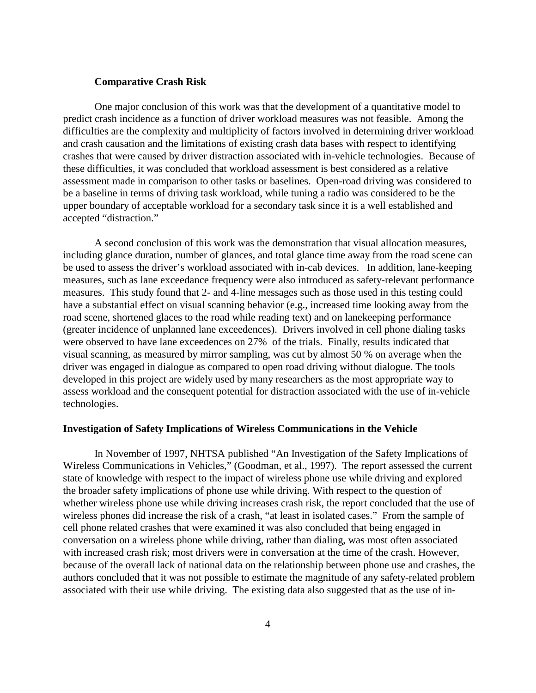## **Comparative Crash Risk**

One major conclusion of this work was that the development of a quantitative model to predict crash incidence as a function of driver workload measures was not feasible. Among the difficulties are the complexity and multiplicity of factors involved in determining driver workload and crash causation and the limitations of existing crash data bases with respect to identifying crashes that were caused by driver distraction associated with in-vehicle technologies. Because of these difficulties, it was concluded that workload assessment is best considered as a relative assessment made in comparison to other tasks or baselines. Open-road driving was considered to be a baseline in terms of driving task workload, while tuning a radio was considered to be the upper boundary of acceptable workload for a secondary task since it is a well established and accepted "distraction."

A second conclusion of this work was the demonstration that visual allocation measures, including glance duration, number of glances, and total glance time away from the road scene can be used to assess the driver's workload associated with in-cab devices. In addition, lane-keeping measures, such as lane exceedance frequency were also introduced as safety-relevant performance measures. This study found that 2- and 4-line messages such as those used in this testing could have a substantial effect on visual scanning behavior (e.g., increased time looking away from the road scene, shortened glaces to the road while reading text) and on lanekeeping performance (greater incidence of unplanned lane exceedences). Drivers involved in cell phone dialing tasks were observed to have lane exceedences on 27% of the trials. Finally, results indicated that visual scanning, as measured by mirror sampling, was cut by almost 50 % on average when the driver was engaged in dialogue as compared to open road driving without dialogue. The tools developed in this project are widely used by many researchers as the most appropriate way to assess workload and the consequent potential for distraction associated with the use of in-vehicle technologies.

#### **Investigation of Safety Implications of Wireless Communications in the Vehicle**

In November of 1997, NHTSA published "An Investigation of the Safety Implications of Wireless Communications in Vehicles," (Goodman, et al., 1997). The report assessed the current state of knowledge with respect to the impact of wireless phone use while driving and explored the broader safety implications of phone use while driving. With respect to the question of whether wireless phone use while driving increases crash risk, the report concluded that the use of wireless phones did increase the risk of a crash, "at least in isolated cases."From the sample of cell phone related crashes that were examined it was also concluded that being engaged in conversation on a wireless phone while driving, rather than dialing, was most often associated with increased crash risk; most drivers were in conversation at the time of the crash. However, because of the overall lack of national data on the relationship between phone use and crashes, the authors concluded that it was not possible to estimate the magnitude of any safety-related problem associated with their use while driving. The existing data also suggested that as the use of in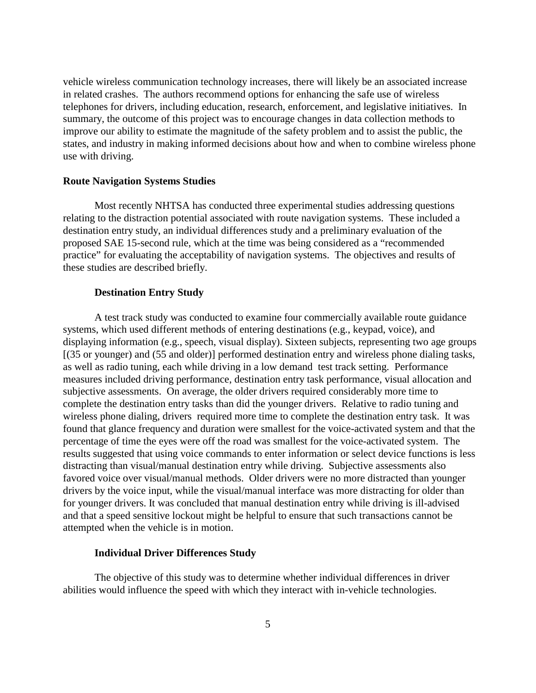vehicle wireless communication technology increases, there will likely be an associated increase in related crashes. The authors recommend options for enhancing the safe use of wireless telephones for drivers, including education, research, enforcement, and legislative initiatives. In summary, the outcome of this project was to encourage changes in data collection methods to improve our ability to estimate the magnitude of the safety problem and to assist the public, the states, and industry in making informed decisions about how and when to combine wireless phone use with driving.

#### **Route Navigation Systems Studies**

Most recently NHTSA has conducted three experimental studies addressing questions relating to the distraction potential associated with route navigation systems. These included a destination entry study, an individual differences study and a preliminary evaluation of the proposed SAE 15-second rule, which at the time was being considered as a "recommended practice" for evaluating the acceptability of navigation systems. The objectives and results of these studies are described briefly.

#### **Destination Entry Study**

A test track study was conducted to examine four commercially available route guidance systems, which used different methods of entering destinations (e.g., keypad, voice), and displaying information (e.g., speech, visual display). Sixteen subjects, representing two age groups [(35 or younger) and (55 and older)] performed destination entry and wireless phone dialing tasks, as well as radio tuning, each while driving in a low demand test track setting. Performance measures included driving performance, destination entry task performance, visual allocation and subjective assessments. On average, the older drivers required considerably more time to complete the destination entry tasks than did the younger drivers. Relative to radio tuning and wireless phone dialing, drivers required more time to complete the destination entry task. It was found that glance frequency and duration were smallest for the voice-activated system and that the percentage of time the eyes were off the road was smallest for the voice-activated system. The results suggested that using voice commands to enter information or select device functions is less distracting than visual/manual destination entry while driving. Subjective assessments also favored voice over visual/manual methods. Older drivers were no more distracted than younger drivers by the voice input, while the visual/manual interface was more distracting for older than for younger drivers. It was concluded that manual destination entry while driving is ill-advised and that a speed sensitive lockout might be helpful to ensure that such transactions cannot be attempted when the vehicle is in motion.

#### **Individual Driver Differences Study**

The objective of this study was to determine whether individual differences in driver abilities would influence the speed with which they interact with in-vehicle technologies.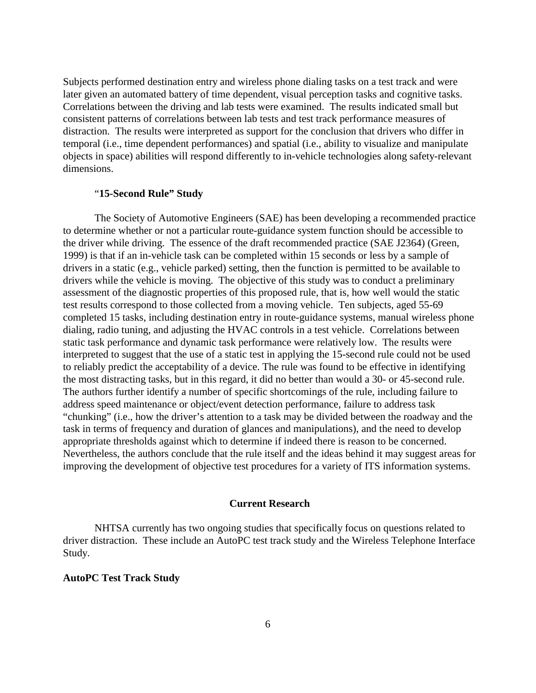Subjects performed destination entry and wireless phone dialing tasks on a test track and were later given an automated battery of time dependent, visual perception tasks and cognitive tasks. Correlations between the driving and lab tests were examined. The results indicated small but consistent patterns of correlations between lab tests and test track performance measures of distraction. The results were interpreted as support for the conclusion that drivers who differ in temporal (i.e., time dependent performances) and spatial (i.e., ability to visualize and manipulate objects in space) abilities will respond differently to in-vehicle technologies along safety-relevant dimensions.

## "**15-Second Rule" Study**

The Society of Automotive Engineers (SAE) has been developing a recommended practice to determine whether or not a particular route-guidance system function should be accessible to the driver while driving. The essence of the draft recommended practice (SAE J2364) (Green, 1999) is that if an in-vehicle task can be completed within 15 seconds or less by a sample of drivers in a static (e.g., vehicle parked) setting, then the function is permitted to be available to drivers while the vehicle is moving. The objective of this study was to conduct a preliminary assessment of the diagnostic properties of this proposed rule, that is, how well would the static test results correspond to those collected from a moving vehicle. Ten subjects, aged 55-69 completed 15 tasks, including destination entry in route-guidance systems, manual wireless phone dialing, radio tuning, and adjusting the HVAC controls in a test vehicle. Correlations between static task performance and dynamic task performance were relatively low. The results were interpreted to suggest that the use of a static test in applying the 15-second rule could not be used to reliably predict the acceptability of a device. The rule was found to be effective in identifying the most distracting tasks, but in this regard, it did no better than would a 30- or 45-second rule. The authors further identify a number of specific shortcomings of the rule, including failure to address speed maintenance or object/event detection performance, failure to address task "chunking" (i.e., how the driver's attention to a task may be divided between the roadway and the task in terms of frequency and duration of glances and manipulations), and the need to develop appropriate thresholds against which to determine if indeed there is reason to be concerned. Nevertheless, the authors conclude that the rule itself and the ideas behind it may suggest areas for improving the development of objective test procedures for a variety of ITS information systems.

# **Current Research**

NHTSA currently has two ongoing studies that specifically focus on questions related to driver distraction. These include an AutoPC test track study and the Wireless Telephone Interface Study.

# **AutoPC Test Track Study**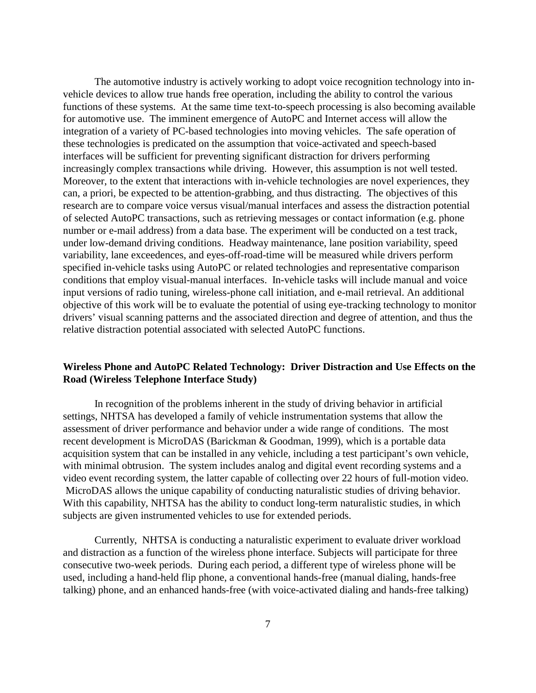The automotive industry is actively working to adopt voice recognition technology into invehicle devices to allow true hands free operation, including the ability to control the various functions of these systems. At the same time text-to-speech processing is also becoming available for automotive use. The imminent emergence of AutoPC and Internet access will allow the integration of a variety of PC-based technologies into moving vehicles. The safe operation of these technologies is predicated on the assumption that voice-activated and speech-based interfaces will be sufficient for preventing significant distraction for drivers performing increasingly complex transactions while driving. However, this assumption is not well tested. Moreover, to the extent that interactions with in-vehicle technologies are novel experiences, they can, a priori, be expected to be attention-grabbing, and thus distracting. The objectives of this research are to compare voice versus visual/manual interfaces and assess the distraction potential of selected AutoPC transactions, such as retrieving messages or contact information (e.g. phone number or e-mail address) from a data base. The experiment will be conducted on a test track, under low-demand driving conditions. Headway maintenance, lane position variability, speed variability, lane exceedences, and eyes-off-road-time will be measured while drivers perform specified in-vehicle tasks using AutoPC or related technologies and representative comparison conditions that employ visual-manual interfaces. In-vehicle tasks will include manual and voice input versions of radio tuning, wireless-phone call initiation, and e-mail retrieval. An additional objective of this work will be to evaluate the potential of using eye-tracking technology to monitor drivers' visual scanning patterns and the associated direction and degree of attention, and thus the relative distraction potential associated with selected AutoPC functions.

# **Wireless Phone and AutoPC Related Technology: Driver Distraction and Use Effects on the Road (Wireless Telephone Interface Study)**

In recognition of the problems inherent in the study of driving behavior in artificial settings, NHTSA has developed a family of vehicle instrumentation systems that allow the assessment of driver performance and behavior under a wide range of conditions. The most recent development is MicroDAS (Barickman & Goodman, 1999), which is a portable data acquisition system that can be installed in any vehicle, including a test participant's own vehicle, with minimal obtrusion. The system includes analog and digital event recording systems and a video event recording system, the latter capable of collecting over 22 hours of full-motion video. MicroDAS allows the unique capability of conducting naturalistic studies of driving behavior. With this capability, NHTSA has the ability to conduct long-term naturalistic studies, in which subjects are given instrumented vehicles to use for extended periods.

Currently, NHTSA is conducting a naturalistic experiment to evaluate driver workload and distraction as a function of the wireless phone interface. Subjects will participate for three consecutive two-week periods. During each period, a different type of wireless phone will be used, including a hand-held flip phone, a conventional hands-free (manual dialing, hands-free talking) phone, and an enhanced hands-free (with voice-activated dialing and hands-free talking)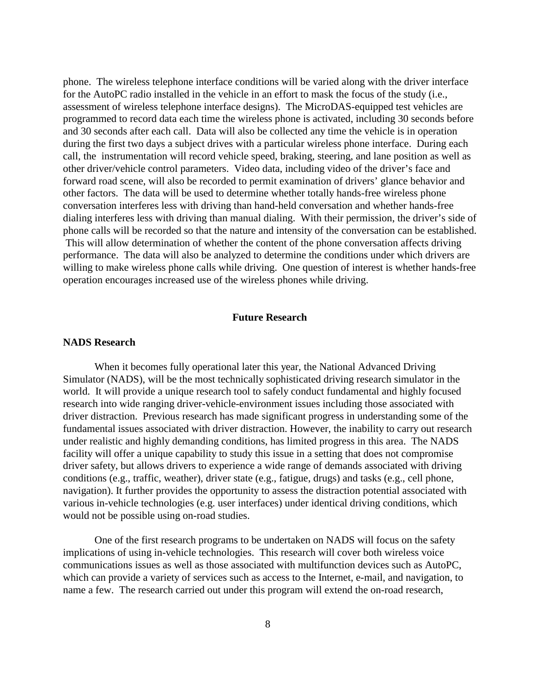phone. The wireless telephone interface conditions will be varied along with the driver interface for the AutoPC radio installed in the vehicle in an effort to mask the focus of the study (i.e., assessment of wireless telephone interface designs). The MicroDAS-equipped test vehicles are programmed to record data each time the wireless phone is activated, including 30 seconds before and 30 seconds after each call. Data will also be collected any time the vehicle is in operation during the first two days a subject drives with a particular wireless phone interface. During each call, the instrumentation will record vehicle speed, braking, steering, and lane position as well as other driver/vehicle control parameters. Video data, including video of the driver's face and forward road scene, will also be recorded to permit examination of drivers' glance behavior and other factors. The data will be used to determine whether totally hands-free wireless phone conversation interferes less with driving than hand-held conversation and whether hands-free dialing interferes less with driving than manual dialing. With their permission, the driver's side of phone calls will be recorded so that the nature and intensity of the conversation can be established. This will allow determination of whether the content of the phone conversation affects driving performance. The data will also be analyzed to determine the conditions under which drivers are willing to make wireless phone calls while driving. One question of interest is whether hands-free operation encourages increased use of the wireless phones while driving.

# **Future Research**

#### **NADS Research**

When it becomes fully operational later this year, the National Advanced Driving Simulator (NADS), will be the most technically sophisticated driving research simulator in the world. It will provide a unique research tool to safely conduct fundamental and highly focused research into wide ranging driver-vehicle-environment issues including those associated with driver distraction. Previous research has made significant progress in understanding some of the fundamental issues associated with driver distraction. However, the inability to carry out research under realistic and highly demanding conditions, has limited progress in this area. The NADS facility will offer a unique capability to study this issue in a setting that does not compromise driver safety, but allows drivers to experience a wide range of demands associated with driving conditions (e.g., traffic, weather), driver state (e.g., fatigue, drugs) and tasks (e.g., cell phone, navigation). It further provides the opportunity to assess the distraction potential associated with various in-vehicle technologies (e.g. user interfaces) under identical driving conditions, which would not be possible using on-road studies.

One of the first research programs to be undertaken on NADS will focus on the safety implications of using in-vehicle technologies. This research will cover both wireless voice communications issues as well as those associated with multifunction devices such as AutoPC, which can provide a variety of services such as access to the Internet, e-mail, and navigation, to name a few. The research carried out under this program will extend the on-road research,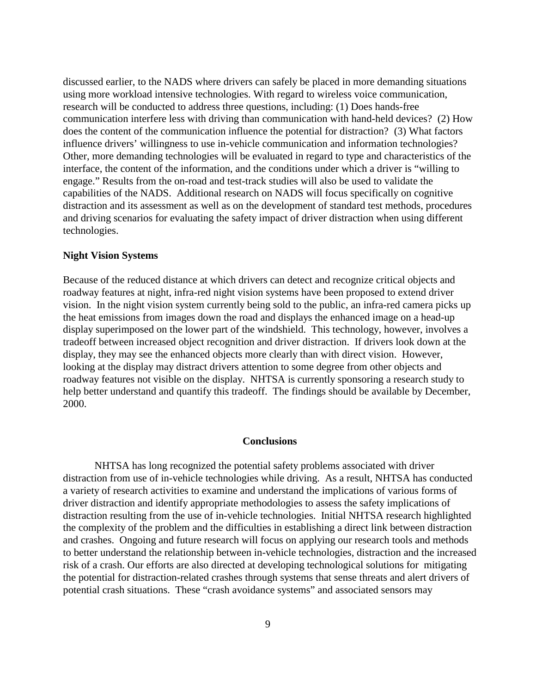discussed earlier, to the NADS where drivers can safely be placed in more demanding situations using more workload intensive technologies. With regard to wireless voice communication, research will be conducted to address three questions, including: (1) Does hands-free communication interfere less with driving than communication with hand-held devices? (2) How does the content of the communication influence the potential for distraction? (3) What factors influence drivers' willingness to use in-vehicle communication and information technologies? Other, more demanding technologies will be evaluated in regard to type and characteristics of the interface, the content of the information, and the conditions under which a driver is "willing to engage." Results from the on-road and test-track studies will also be used to validate the capabilities of the NADS. Additional research on NADS will focus specifically on cognitive distraction and its assessment as well as on the development of standard test methods, procedures and driving scenarios for evaluating the safety impact of driver distraction when using different technologies.

#### **Night Vision Systems**

Because of the reduced distance at which drivers can detect and recognize critical objects and roadway features at night, infra-red night vision systems have been proposed to extend driver vision. In the night vision system currently being sold to the public, an infra-red camera picks up the heat emissions from images down the road and displays the enhanced image on a head-up display superimposed on the lower part of the windshield. This technology, however, involves a tradeoff between increased object recognition and driver distraction. If drivers look down at the display, they may see the enhanced objects more clearly than with direct vision. However, looking at the display may distract drivers attention to some degree from other objects and roadway features not visible on the display. NHTSA is currently sponsoring a research study to help better understand and quantify this tradeoff. The findings should be available by December, 2000.

#### **Conclusions**

NHTSA has long recognized the potential safety problems associated with driver distraction from use of in-vehicle technologies while driving. As a result, NHTSA has conducted a variety of research activities to examine and understand the implications of various forms of driver distraction and identify appropriate methodologies to assess the safety implications of distraction resulting from the use of in-vehicle technologies. Initial NHTSA research highlighted the complexity of the problem and the difficulties in establishing a direct link between distraction and crashes. Ongoing and future research will focus on applying our research tools and methods to better understand the relationship between in-vehicle technologies, distraction and the increased risk of a crash. Our efforts are also directed at developing technological solutions for mitigating the potential for distraction-related crashes through systems that sense threats and alert drivers of potential crash situations. These "crash avoidance systems" and associated sensors may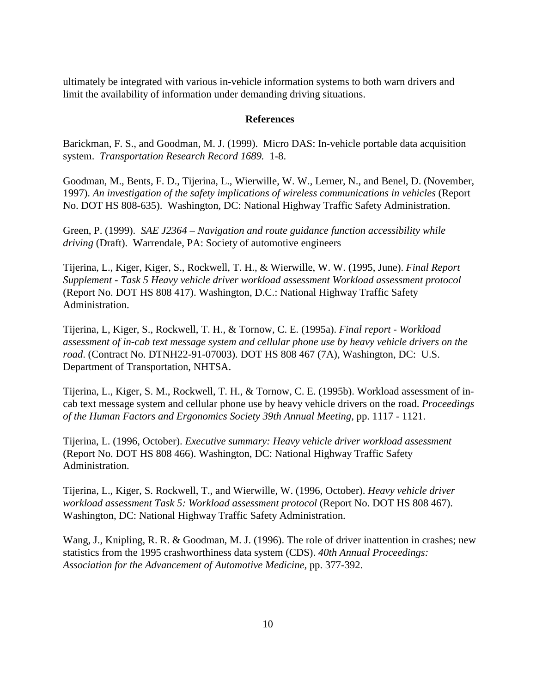ultimately be integrated with various in-vehicle information systems to both warn drivers and limit the availability of information under demanding driving situations.

## **References**

Barickman, F. S., and Goodman, M. J. (1999). Micro DAS: In-vehicle portable data acquisition system. *Transportation Research Record 1689.* 1-8.

Goodman, M., Bents, F. D., Tijerina, L., Wierwille, W. W., Lerner, N., and Benel, D. (November, 1997). *An investigation of the safety implications of wireless communications in vehicles* (Report No. DOT HS 808-635). Washington, DC: National Highway Traffic Safety Administration.

Green, P. (1999). *SAE J2364 – Navigation and route guidance function accessibility while driving* (Draft). Warrendale, PA: Society of automotive engineers

Tijerina, L., Kiger, Kiger, S., Rockwell, T. H., & Wierwille, W. W. (1995, June). *Final Report Supplement - Task 5 Heavy vehicle driver workload assessment Workload assessment protocol* (Report No. DOT HS 808 417). Washington, D.C.: National Highway Traffic Safety Administration.

Tijerina, L, Kiger, S., Rockwell, T. H., & Tornow, C. E. (1995a). *Final report - Workload assessment of in-cab text message system and cellular phone use by heavy vehicle drivers on the road*. (Contract No. DTNH22-91-07003). DOT HS 808 467 (7A), Washington, DC: U.S. Department of Transportation, NHTSA.

Tijerina, L., Kiger, S. M., Rockwell, T. H., & Tornow, C. E. (1995b). Workload assessment of incab text message system and cellular phone use by heavy vehicle drivers on the road. *Proceedings of the Human Factors and Ergonomics Society 39th Annual Meeting,* pp. 1117 - 1121.

Tijerina, L. (1996, October). *Executive summary: Heavy vehicle driver workload assessment* (Report No. DOT HS 808 466). Washington, DC: National Highway Traffic Safety Administration.

Tijerina, L., Kiger, S. Rockwell, T., and Wierwille, W. (1996, October). *Heavy vehicle driver workload assessment Task 5: Workload assessment protocol* (Report No. DOT HS 808 467). Washington, DC: National Highway Traffic Safety Administration.

Wang, J., Knipling, R. R. & Goodman, M. J. (1996). The role of driver inattention in crashes; new statistics from the 1995 crashworthiness data system (CDS). *40th Annual Proceedings: Association for the Advancement of Automotive Medicine,* pp. 377-392.